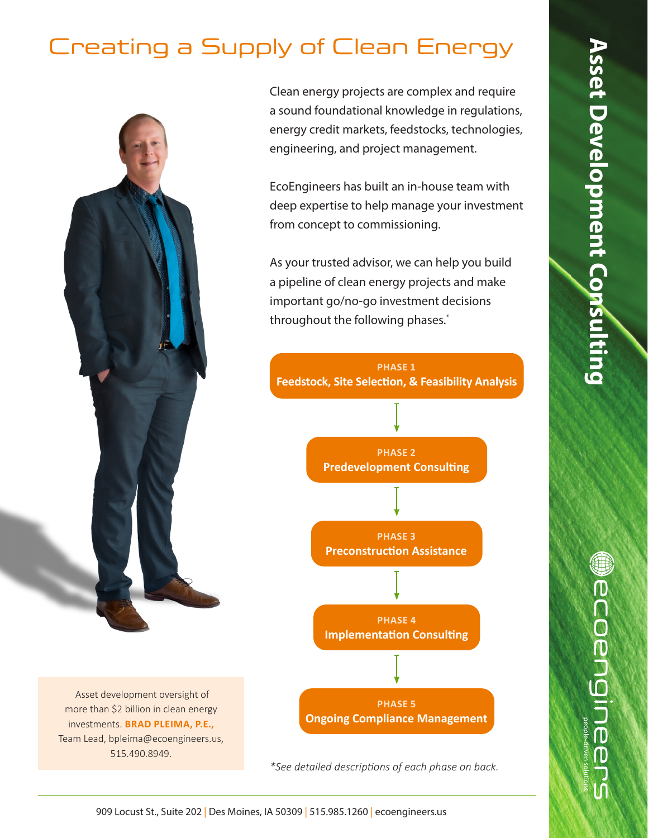## Creating a Supply of Clean Energy

 Asset development oversight of more than \$2 billion in clean energy investments. **BRAD PLEIMA, P.E.,**  Team Lead, bpleima@ecoengineers.us, 515.490.8949.

Clean energy projects are complex and require a sound foundational knowledge in regulations, energy credit markets, feedstocks, technologies, engineering, and project management.

EcoEngineers has built an in-house team with deep expertise to help manage your investment from concept to commissioning.

As your trusted advisor, we can help you build a pipeline of clean energy projects and make important go/no-go investment decisions throughout the following phases.\*



*\*See detailed descriptions of each phase on back.*

**Wecoengineer**